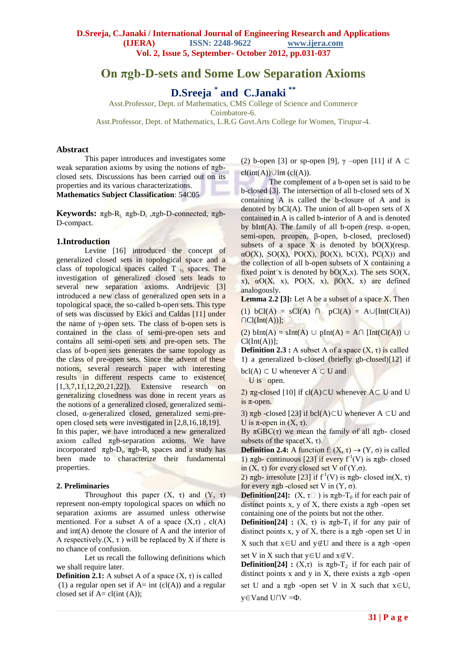# **On πgb-D-sets and Some Low Separation Axioms**

**D.Sreeja \* and C.Janaki \*\***

Asst.Professor, Dept. of Mathematics, CMS College of Science and Commerce Coimbatore-6.

Asst.Professor, Dept. of Mathematics, L.R.G Govt.Arts College for Women, Tirupur-4.

### **Abstract**

This paper introduces and investigates some weak separation axioms by using the notions of  $\pi$ gbclosed sets. Discussions has been carried out on its properties and its various characterizations. **Mathematics Subject Classification**: 54C05

**Keywords:** πgb-Ri, πgb-D<sup>i</sup> ,πgb-D-connected, πgb-D-compact.

### **1.Introduction**

Levine [16] introduced the concept of generalized closed sets in topological space and a class of topological spaces called T  $<sub>1/2</sub>$  spaces. The</sub> investigation of generalized closed sets leads to several new separation axioms. Andrijevic [3] introduced a new class of generalized open sets in a topological space, the so-called b-open sets. This type of sets was discussed by Ekici and Caldas [11] under the name of  $\gamma$ -open sets. The class of b-open sets is contained in the class of semi-pre-open sets and contains all semi-open sets and pre-open sets. The class of b-open sets generates the same topology as the class of pre-open sets. Since the advent of these notions, several research paper with interesting results in different respects came to existence( [1,3,7,11,12,20,21,22]). Extensive research on generalizing closedness was done in recent years as the notions of a generalized closed, generalized semiclosed, α-generalized closed, generalized semi-preopen closed sets were investigated in [2,8,16,18,19]. In this paper, we have introduced a new generalized axiom called πgb-separation axioms. We have incorporated  $\pi g b - D_i$ ,  $\pi g b - R_i$  spaces and a study has been made to characterize their fundamental properties.

### **2. Preliminaries**

Throughout this paper  $(X, \tau)$  and  $(Y, \tau)$ represent non-empty topological spaces on which no separation axioms are assumed unless otherwise mentioned. For a subset A of a space  $(X,\tau)$ , cl(A) and int(A) denote the closure of A and the interior of A respectively. $(X, \tau)$  will be replaced by X if there is no chance of confusion.

Let us recall the following definitions which we shall require later.

**Definition 2.1:** A subset A of a space  $(X, \tau)$  is called (1) a regular open set if  $A=$  int (cl(A)) and a regular closed set if  $A = cl(int (A));$ 

(2) b-open [3] or sp-open [9],  $\gamma$  –open [11] if A ⊂

 $cl(int(A)) \cup int (cl(A)).$ 

The complement of a b-open set is said to be b-closed [3]. The intersection of all b-closed sets of X containing A is called the b-closure of A and is denoted by  $bCl(A)$ . The union of all b-open sets of X contained in A is called b-interior of A and is denoted by bInt(A). The family of all b-open (resp. α-open, semi-open, preopen, β-open, b-closed, preclosed) subsets of a space  $X$  is denoted by  $bO(X)(resp.$  $\alpha$ O(X), SO(X), PO(X),  $\beta$ O(X), bC(X), PC(X)) and the collection of all b-open subsets of X containing a fixed point x is denoted by  $bO(X,x)$ . The sets  $SO(X, \mathbb{R}))$ x),  $\alpha O(X, x)$ , PO $(X, x)$ ,  $\beta O(X, x)$  are defined analogously.

**Lemma 2.2 [3]:** Let A be a subset of a space X. Then

(1) bCl(A) = sCl(A)  $\cap$  pCl(A) = A∪[Int(Cl(A))  $\bigcap Cl(Int(A))$ ;

(2) bInt(A) = sInt(A) ∪ pInt(A) = A∩ [Int(Cl(A)) ∪  $Cl(Int(A))$ ]:

**Definition 2.3 :** A subset A of a space  $(X, \tau)$  is called 1) a generalized b-closed (briefly gb-closed)[12] if

 $\text{bcl}(A) \subset U$  whenever  $A \subset U$  and

U is open.

2) πg-closed [10] if cl(A)⊂U whenever  $A ⊂ U$  and U is  $\pi$ -open.

3)  $πgb$  -closed [23] if bcl(A)⊂U whenever A ⊂U and U is  $\pi$ -open in  $(X, \tau)$ .

By  $\pi$ GBC(τ) we mean the family of all  $\pi$ gb- closed subsets of the space $(X, \tau)$ .

**Definition 2.4:** A function f:  $(X, \tau) \rightarrow (Y, \sigma)$  is called 1)  $\pi$ gb- continuous [23] if every f<sup>1</sup>(V) is  $\pi$ gb- closed in  $(X, \tau)$  for every closed set V of  $(Y, \sigma)$ .

2)  $\pi$ gb- irresolute [23] if f<sup>-1</sup>(V) is  $\pi$ gb- closed in(X, τ) for every πgb -closed set V in (Y, σ).

**Definition**[24]:  $(X, \tau)$  is  $\pi$ gb-T<sub>0</sub> if for each pair of distinct points x, y of X, there exists a  $\pi$ gb -open set containing one of the points but not the other.

**Definition[24] :**  $(X, \tau)$  is  $\pi$ gb-T<sub>1</sub> if for any pair of distinct points x, y of X, there is a  $\pi$ gb -open set U in

X such that  $x \in U$  and  $y \notin U$  and there is a  $\pi gb$  -open

set V in X such that  $y \in U$  and  $x \notin V$ .

**Definition[24] :**  $(X,\tau)$  is  $\pi$ gb-T<sub>2</sub> if for each pair of distinct points x and y in X, there exists a  $\pi$ gb -open set U and a  $\pi$ gb -open set V in X such that  $x \in U$ , y∈Vand U∩V =Ф.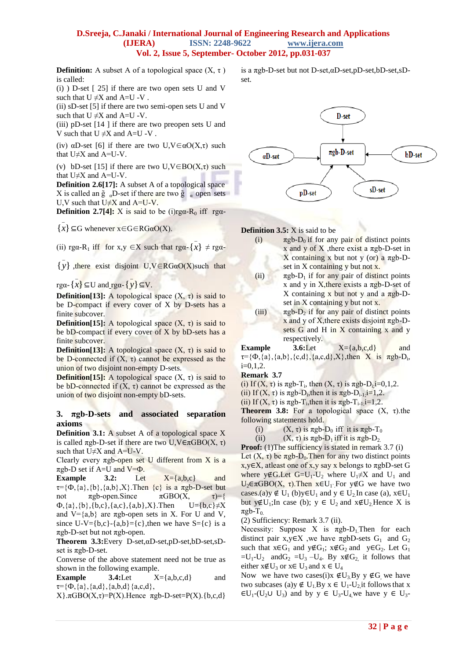**Definition:** A subset A of a topological space  $(X, \tau)$ is called:

(i) ) D-set [ 25] if there are two open sets U and V such that  $U \neq X$  and  $A=U -V$ .

(ii) sD-set [5] if there are two semi-open sets U and V such that  $U \neq X$  and A=U -V.

(iii)  $pD-set$  [14 ] if there are two preopen sets U and V such that  $U \neq X$  and A=U -V .

(iv)  $\alpha$ D-set [6] if there are two U,V $\in \alpha$ O(X,τ) such that  $U\neq X$  and  $A=U-V$ .

(v) bD-set [15] if there are two  $U, V \in BO(X, \tau)$  such that U≠X and A=U-V.

**Definition 2.6[17]:** A subset A of a topological space X is called an  $\tilde{g}$  <sub>a</sub>D-set if there are two  $\tilde{g}$  a open sets U,V such that  $U\neq X$  and  $A=U-V$ .

**Definition 2.7[4]:** X is said to be (i)rg $\alpha$ -R<sub>0</sub> iff rg $\alpha$ -

 ${x} \subseteq G$  whenever  $x \in G ∈ RGαO(X)$ .

\_

\_

(ii) rga-R<sub>1</sub> iff for x,y  $\in X$  such that rga- $\{x\} \neq$  rga-

\_

 $\overline{\{y\}}$ , there exist disjoint U,V∈RGαO(X)such that

\_

rgα- { *x* } ⊆U and rgα- { *y* } ⊆V.

**Definition[13]:** A topological space  $(X, \tau)$  is said to be D-compact if every cover of X by D-sets has a finite subcover.

**Definition**[15]: A topological space  $(X, \tau)$  is said to be bD-compact if every cover of X by bD-sets has a finite subcover.

**Definition**[13]: A topological space  $(X, \tau)$  is said to be D-connected if  $(X, \tau)$  cannot be expressed as the union of two disjoint non-empty D-sets.

**Definition**[15]: A topological space  $(X, \tau)$  is said to be bD-connected if  $(X, \tau)$  cannot be expressed as the union of two disjoint non-empty bD-sets.

# **3. πgb-D-sets and associated separation axioms**

**Definition 3.1:** A subset A of a topological space X is called  $\pi$ gb-D-set if there are two U,V $\in \pi$ GBO(X, τ) such that  $U\neq X$  and  $A=U-V$ .

Clearly every  $π$ gb-open set U different from X is a  $\pi$ gb-D set if A=U and V= $\Phi$ .

**Example**  $3.2$ : Let  $X = \{a,b,c\}$  and  $\tau = {\Phi, \{a\}, \{b\}, \{a,b\}, X}.$ Then  $\{c\}$  is a  $\pi$ gb-D-set but not πgb-open.Since  $πGBO(X, τ)=$ {  $\Phi$ , {a}, {b}, {b,c}, {a,c}, {a,b}, X}. Then  $U=$ {b,c} $\neq$ X and  $V = \{a,b\}$  are  $\pi$ gb-open sets in X. For U and V, since U-V={b,c}-{a,b}={c},then we have S={c} is a πgb-D-set but not πgb-open.

**Theorem 3.3:**Every D-set,αD-set,pD-set,bD-set,sDset is  $\pi$ gb-D-set.

Converse of the above statement need not be true as shown in the following example.

**Example 3.4:**Let  $X = \{a,b,c,d\}$  and  $\tau = {\Phi, {a}, {a,d}, {a,b,d}} {a,c,d},$ 

 $X}$ . $\pi$ GBO(X, $\tau$ )=P(X).Hence  $\pi$ gb-D-set=P(X).{b,c,d}

is a πgb-D-set but not D-set,αD-set,pD-set,bD-set,sDset.



**Definition 3.5:** X is said to be

- (i)  $\pi$ gb-D<sub>0</sub> if for any pair of distinct points x and y of X , there exist a  $\pi$ gb-D-set in X containing x but not y (or) a  $πgb-D$ set in X containing y but not x.
- (ii)  $\pi$ gb-D<sub>1</sub> if for any pair of distinct points x and y in X, there exists a  $\pi$ gb-D-set of X containing x but not y and a  $πgb-D$ set in X containing y but not x.
- (iii)  $\pi$ gb-D<sub>2</sub> if for any pair of distinct points x and y of X, there exists disjoint  $\pi$ gb-Dsets G and H in  $\overline{X}$  containing x and y respectively.

**Example 3.6:**Let **X**={a,b,c,d} and  $\tau = {\Phi, {a}, {a,b}, {c,d}, {a,c,d}, X},$ then X is  $\pi g b - D_i$ ,  $i=0.1, 2.$ 

**Remark 3.7**

(i) If  $(X, \tau)$  is  $\pi$ gb-T<sub>i</sub>, then  $(X, \tau)$  is  $\pi$ gb-D<sub>i</sub>,**i**=0,1,2.

(ii) If  $(X, \tau)$  is  $\pi$ gb-D<sub>i</sub>, then it is  $\pi$ gb-D<sub>i-1;</sub>i=1,2.

(ii) If  $(X, \tau)$  is  $\pi$ gb-T<sub>i</sub>, then it is  $\pi$ gb-T<sub>i-1;</sub>i=1,2.

**Theorem 3.8:** For a topological space  $(X, \tau)$ .the following statements hold.

(i)  $(X, \tau)$  is  $\pi \text{gb-D}_0$  iff it is  $\pi \text{gb-T}_0$ 

(ii)  $(X, \tau)$  is  $\pi$ gb-D<sub>1</sub> iff it is  $\pi$ gb-D<sub>2.</sub>

**Proof:** (1) The sufficiency is stated in remark 3.7 (i) Let  $(X, \tau)$  be  $\pi$ gb-D<sub>0</sub>. Then for any two distinct points x,y∈X, atleast one of x,y say x belongs to πgbD-set G where y∉G.Let G=U<sub>1</sub>-U<sub>2</sub> where U<sub>1</sub>≠X and U<sub>1</sub> and  $U_2$ ∈πGBO(X, τ). Then x∈U<sub>1</sub></sub> For y∉G we have two cases.(a)y  $\notin U_1$  (b)y $\in U_1$  and  $y \in U_2$  In case (a),  $x \in U_1$ but y∉U<sub>1</sub>;In case (b);  $y \in U_2$  and  $x \notin U_2$  Hence X is  $\pi$ gb-T<sub>0.</sub>

(2) Sufficiency: Remark 3.7 (ii).

Necessity: Suppose X is  $\pi$ gb-D<sub>1</sub>. Then for each distinct pair x,  $y \in X$ , we have  $\pi g bD$ -sets  $G_1$  and  $G_2$ such that  $x \in G_1$  and  $y \notin G_1$ ;  $x \notin G_2$  and  $y \in G_2$ . Let  $G_1$  $=U_1-U_2$  and  $G_2 = U_3 - U_4$ . By  $x \notin G_2$  it follows that either  $x \notin U_3$  or  $x \in U_3$  and  $x \in U_4$ 

Now we have two cases(i)x  $\notin U_3$ By y  $\notin G$  we have two subcases (a)y  $\notin U_1$ . By  $x \in U_1$ -U<sub>2</sub>, it follows that x  $\epsilon U_1$ -(U<sub>2</sub>U U<sub>3</sub>) and by y  $\epsilon$  U<sub>3</sub>-U<sub>4</sub>, we have y  $\epsilon$  U<sub>3</sub>-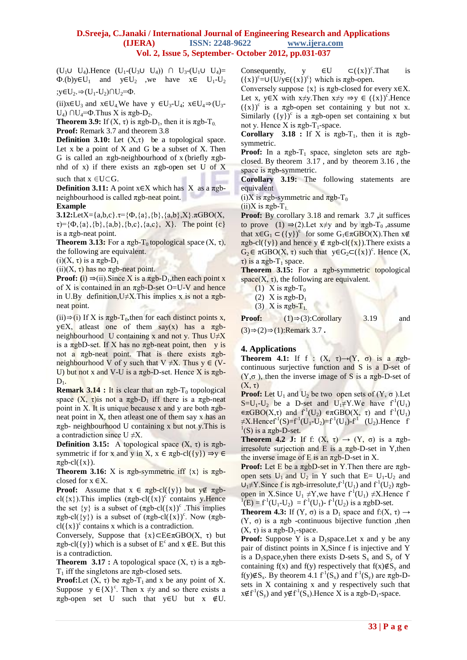$(U_1 \cup U_4)$ . Hence  $(U_1 - (U_3 \cup U_4))$  ∩  $U_3 - (U_1 \cup U_4) =$  $\Phi$ .(b)y∈U<sub>1</sub> and y∈U<sub>2</sub> ,we have x∈ U<sub>1</sub>-U<sub>2</sub>

;y∈U<sub>2</sub>.⇒(U<sub>1</sub>-U<sub>2</sub>)∩U<sub>2</sub>= $\Phi$ .

(ii)x∈U<sub>3</sub> and x∈U<sub>4</sub>.We have y ∈U<sub>3</sub>-U<sub>4</sub>; x∈U<sub>4</sub> $\Rightarrow$ (U<sub>3</sub>-U<sub>4</sub>)  $\cap$ U<sub>4</sub>=Φ. Thus X is πgb-D<sub>2</sub>.

**Theorem 3.9:** If  $(X, \tau)$  is  $\pi$ gb-D<sub>1</sub>, then it is  $\pi$ gb-T<sub>0.</sub> **Proof:** Remark 3.7 and theorem 3.8

**Definition 3.10:** Let  $(X,\tau)$  be a topological space. Let  $x$  be a point of  $X$  and  $G$  be a subset of  $X$ . Then G is called an πgb-neighbourhood of x (briefly πgbnhd of x) if there exists an πgb-open set U of X

such that  $x \in U \subset G$ .

**Definition 3.11:** A point  $x \in X$  which has X as a  $\pi$ gbneighbourhood is called  $πgb$ -neat point.

### **Example**

**3.12:**LetX={a,b,c}. $\tau = {\Phi, {a}, {b}, {a}, {b}, {a,b}, X}$ . $\pi$ GBO(X,  $\tau$ )={ $\Phi$ ,{a},{b},{a,b},{b,c},{a,c}, X}. The point {c} is a πgb-neat point.

**Theorem 3.13:** For a  $\pi$ gb-T<sub>0</sub> topological space  $(X, \tau)$ , the following are equivalent.

(i)(X, τ) is a  $\pi$ gb-D<sub>1</sub>

(ii)(X, τ) has no πgb-neat point.

**Proof:** (i)  $\Rightarrow$  (ii). Since X is a  $\pi$ gb-D<sub>1</sub>, then each point x of X is contained in an  $\pi$ gb-D-set O=U-V and hence in U.By definition,  $U \neq X$ . This implies x is not a  $\pi$ gbneat point.

(ii)⇒(i) If X is  $\pi$ gb-T<sub>0</sub>, then for each distinct points x, y∈X, atleast one of them say(x) has a  $πgb$ neighbourhood U containing x and not y. Thus  $U \neq X$ is a  $\pi$ gbD-set. If X has no  $\pi$ gb-neat point, then y is not a πgb-neat point. That is there exists  $πgb$ neighbourhood V of y such that V  $\neq$ X. Thus y  $\in$  (V-U) but not x and V-U is a  $\pi$ gb-D-set. Hence X is  $\pi$ gb- $D_1$ .

**Remark 3.14 :** It is clear that an  $\pi$ gb-T<sub>0</sub> topological space  $(X, \tau)$ is not a  $\pi$ gb-D<sub>1</sub> iff there is a  $\pi$ gb-neat point in X. It is unique because x and y are both  $\pi$ gbneat point in X, then atleast one of them say x has an  $\pi$ gb- neighbourhood U containing x but not y. This is a contradiction since  $U \neq X$ .

**Definition 3.15:** A topological space  $(X, τ)$  is  $πgb$ symmetric if for x and y in X,  $x \in \pi \text{gb-}cl({y}) \Rightarrow y \in$  $\pi$ gb-cl( $\{x\}$ ).

**Theorem 3.16:** X is  $\pi$ gb-symmetric iff  $\{x\}$  is  $\pi$ gbclosed for x ∈X.

**Proof:** Assume that  $x \in \pi \text{gb-}cl({y})$  but  $y \notin \pi \text{gb-}cl({y})$ cl( $\{x\}$ ). This implies  $(\pi \text{gb-cl}(\{x\})^c$  contains y. Hence the set  $\{y\}$  is a subset of  $(\pi \text{gb-cl}(\{x\})^c)$ . This implies  $\pi$ gb-cl({y}) is a subset of  $(\pi$ gb-cl({x})<sup>c</sup>. Now  $(\pi$ gb $cl({x})^c$  contains x which is a contradiction.

Conversely, Suppose that  ${x} \subset E \in \pi \text{GBO}(X, \tau)$  but  $\pi$ gb-cl({y}) which is a subset of E<sup>c</sup> and x ∉E. But this is a contradiction.

**Theorem 3.17 :** A topological space  $(X, \tau)$  is a  $\pi$ gb-T<sub>1</sub> iff the singletons are  $\pi$ gb-closed sets.

**Proof:**Let  $(X, \tau)$  be  $\pi$ gb- $T_1$  and x be any point of X. Suppose  $y \in {X}^c$ . Then  $x \neq y$  and so there exists a  $\pi$ gb-open set U such that y∈U but x ∉U. Consequently,  $\mathbf{v} \in \mathbf{U}$  $\subset (\{x\})^c$ . That is  $({x})^c = U{U/y} \in ({x})^c$  which is  $\pi$ gb-open.

Conversely suppose  $\{x\}$  is  $\pi$ gb-closed for every x∈X. Let x, y∈X with  $x \neq y$ . Then  $x \neq y \Rightarrow y \in (\{x\})^c$ . Hence  $({x})^c$  is a  $\pi$ gb-open set containing y but not x. Similarly  $({y})^c$  is a  $\pi$ gb-open set containing x but not γ. Hence X is  $π$ gb-T<sub>1</sub>-space.

**Corollary** 3.18 **:** If X is  $\pi$ gb-T<sub>1</sub>, then it is  $\pi$ gbsymmetric.

**Proof:** In a  $\pi$ gb-T<sub>1</sub> space, singleton sets are  $\pi$ gbclosed. By theorem 3.17 , and by theorem 3.16 , the space is  $\pi$ gb-symmetric.

**Corollary 3.19:** The following statements are equivalent

(i)X is  $πgb$ -symmetric and  $πgb$ -T<sub>0</sub>

(ii)X is  $πgb$ -T<sub>1</sub>.

**Proof:** By corollary 3.18 and remark 3.7 **,**it suffices to prove (1)  $\Rightarrow$  (2). Let x≠y and by  $\pi$ gb-T<sub>0</sub>, assume that  $x \in G_1 \subset (\{y\})^c$  for some  $G_1 \in \pi GBO(X)$ . Then  $x \notin$  $\pi$ gb-cl({y}) and hence y  $\notin \pi$ gb-cl({x}). There exists a  $G_2 \in \pi GBO(X, \tau)$  such that  $y \in G_2 \subset (\{x\})^c$ . Hence  $(X, \tau)$ τ) is a  $πgb$ -T<sub>1</sub> space.

**Theorem 3.15:** For a πgb-symmetric topological space $(X, \tau)$ , the following are equivalent.

(1) X is  $\pi$ gb-T<sub>0</sub>

(2) X is  $π$ gb-D<sub>1</sub>

(3) X is  $\pi$ gb-T<sub>1</sub>.

**Proof:**  $(1) \Rightarrow (3)$ :Corollary 3.19 and

(3)⇒(2)⇒(1):Remark 3.7 **.**

# **4. Applications**

**Theorem 4.1:** If f :  $(X, \tau) \rightarrow (Y, \sigma)$  is a  $\pi$ gbcontinuous surjective function and S is a D-set of  $(Y, \sigma)$ , then the inverse image of S is a  $\pi$ gb-D-set of  $(X, \tau)$ 

**Proof:** Let  $U_1$  and  $U_2$  be two open sets of  $(Y, \sigma)$ . Let  $S=U_1-U_2$  be a D-set and  $U_1 \neq Y$ . We have  $f^1(U_1)$  $\epsilon \pi GBO(X,\tau)$  and  $f^1(U_2) \epsilon \pi GBO(X,\tau)$  and  $f^1(U_1)$  $\neq$ X.Hencef<sup>-1</sup>(S)=f<sup>-1</sup>(U<sub>1</sub>-U<sub>2</sub>)=f<sup>-1</sup>(U<sub>1</sub>)-f<sup>-1</sup> (U<sub>2</sub>).Hence f 1 (S) is a  $πgb-D-set$ .

**Theorem 4.2 J:** If f:  $(X, \tau) \rightarrow (Y, \sigma)$  is a  $\pi$ gbirresolute surjection and E is a  $\pi$ gb-D-set in Y, then the inverse image of E is an  $\pi$ gb-D-set in X.

**Proof:** Let E be a πgbD-set in Y.Then there are πgbopen sets  $U_1$  and  $U_2$  in Y such that E=  $U_1-U_2$  and  $U_1 \neq Y$ . Since f is  $\pi$ gb-irresolute,  $f^{-1}(U_1)$  and  $f^{-1}(U_2)$   $\pi$ gbopen in X.Since  $U_1 \neq Y$ , we have  $f^1(U_1) \neq X$ . Hence f  ${}^{1}(E) = f^{1}(U_{1} - U_{2}) = f^{1}(U_{1}) - f^{1}(U_{2})$  is a  $\pi g bD$ -set.

**Theorem 4.3:** If (Y,  $\sigma$ ) is a D<sub>1</sub> space and f:(X,  $\tau$ )  $\rightarrow$ (Y, σ) is a  $π$ gb -continuous bijective function, then (X, τ) is a  $π$ gb-D<sub>1</sub>-space.

**Proof:** Suppose Y is a  $D_1$ space. Let x and y be any pair of distinct points in X,Since f is injective and Y is a D<sub>1</sub>space, yhen there exists D-sets  $S_x$  and  $S_y$  of Y containing f(x) and f(y) respectively that f(x)∉S<sub>y</sub> and f(y)∉S<sub>x</sub>. By theorem 4.1 f<sup>-1</sup>(S<sub>x</sub>) and f<sup>-1</sup>(S<sub>y</sub>) are  $\pi$ gb-Dsets in X containing x and y respectively such that  $x \notin f^{-1}(S_y)$  and  $y \notin f^{-1}(S_x)$ . Hence X is a  $\pi$ gb-D<sub>1</sub>-space.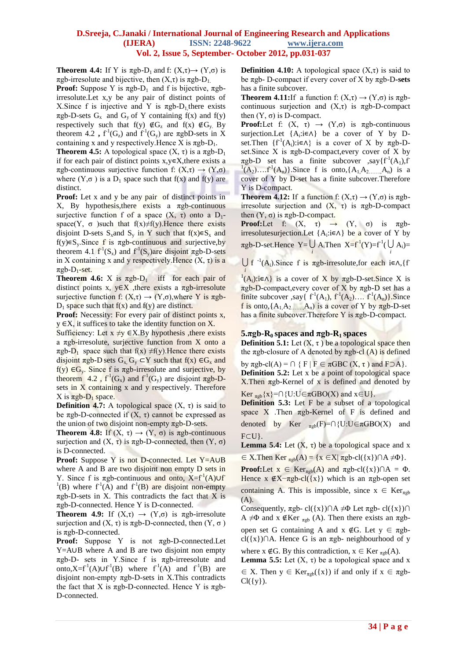**Theorem 4.4:** If Y is  $\pi$ gb-D<sub>1</sub> and f:  $(X,\tau) \rightarrow (Y,\sigma)$  is  $π$ gb-irresolute and bijective, then  $(X,τ)$  is  $π$ gb-D<sub>1</sub>.

**Proof:** Suppose Y is  $\pi$ gb-D<sub>1</sub> and f is bijective,  $\pi$ gbirresolute.Let x,y be any pair of distinct points of X. Since f is injective and Y is  $\pi$ gb-D<sub>1</sub>, there exists  $\pi$ gb-D-sets G<sub>x</sub> and G<sub>y</sub> of Y containing f(x) and f(y) respectively such that f(y)  $\notin G_z$  and f(x)  $\notin G_y$ . By theorem 4.2,  $f^1(G_z)$  and  $f^1(G_y)$  are  $\pi g bD$ -sets in X containing x and y respectively. Hence X is  $\pi$ gb-D<sub>1</sub>.

**Theorem 4.5:** A topological space  $(X, \tau)$  is a  $\pi$ gb-D<sub>1</sub> if for each pair of distinct points  $x,y \in X$ , there exists a πgb-continuous surjective function f: (X,τ) → (Y,σ) where  $(Y, \sigma)$  is a D<sub>1</sub> space such that f(x) and f(y) are distinct.

**Proof:** Let x and y be any pair of distinct points in X, By hypothesis, there exists a  $\pi$ gb-continuous surjective function f of a space  $(X, \tau)$  onto a D<sub>1</sub>space(Y,  $\sigma$ ) such that f(x)≠f(y). Hence there exists disjoint D-sets S<sub>x</sub>and S<sub>y</sub> in Y such that  $f(x) \in S_x$  and f(y) $\in$ S<sub>y</sub>.Since f is  $\pi$ gb-continuous and surjective, by theorem 4.1  $f^{-1}(S_x)$  and  $f^{-1}(S_y)$ are disjoint  $\pi$ gb-D-sets in X containing x and y respectively. Hence  $(X, \tau)$  is a  $\pi$ gb-D<sub>1</sub>-set.

**Theorem 4.6:** X is  $\pi$ gb-D<sub>1</sub> iff for each pair of distinct points x,  $y \in X$ , there exists a  $\pi$ gb-irresolute surjective function f:  $(X, \tau) \rightarrow (Y, \sigma)$ , where Y is  $\pi$ gb- $D_1$  space such that  $f(x)$  and  $f(y)$  are distinct.

**Proof:** Necessity: For every pair of distinct points x,  $y \in X$ , it suffices to take the identity function on X.

Sufficiency: Let  $x \neq y \in X$ . By hypothesis , there exists a πgb-irresolute, surjective function from X onto a  $\pi$ gb-D<sub>1</sub> space such that f(x)  $\neq$ f(y).Hence there exists disjoint  $\pi$ gb-D sets G<sub>x</sub> G<sub>y</sub> ⊂Y such that f(x) ∈G<sub>x</sub> and f(y)  $\in G_v$ . Since f is  $\pi$ gb-irresolute and surjective, by theorem 4.2,  $f^1(G_x)$  and  $f^1(G_y)$  are disjoint  $\pi g b$ -Dsets in X containing x and y respectively. Therefore X is  $πgb-D_1$  space.

**Definition 4.7:** A topological space  $(X, \tau)$  is said to be πgb-D-connected if  $(X, τ)$  cannot be expressed as the union of two disjoint non-empty  $\pi$ gb-D-sets.

**Theorem 4.8:** If  $(X, \tau) \rightarrow (Y, \sigma)$  is  $\pi$ gb-continuous surjection and  $(X, \tau)$  is  $\pi$ gb-D-connected, then  $(Y, \sigma)$ is D-connected.

**Proof:** Suppose Y is not D-connected. Let Y=A∪B where A and B are two disjoint non empty D sets in Y. Since f is  $\pi$ gb-continuous and onto,  $X=f^{-1}(A) \cup f$  $(1)(B)$  where  $f^1(A)$  and  $f^1(B)$  are disjoint non-empty  $\pi$ gb-D-sets in X. This contradicts the fact that X is πgb-D-connected. Hence Y is D-connected.

**Theorem 4.9:** If  $(X,\tau) \to (Y,\sigma)$  is  $\pi$ gb-irresolute surjection and  $(X, \tau)$  is  $\pi$ gb-D-connected, then  $(Y, \sigma)$ is πgb-D-connected.

**Proof:** Suppose Y is not πgb-D-connected.Let Y=A∪B where A and B are two disjoint non empty πgb-D- sets in Y.Since f is πgb-irreesolute and onto,X= $f^{-1}(A) \cup f^{-1}(B)$  where  $f^{-1}(A)$  and  $f^{-1}(B)$  are disjoint non-empty  $\pi$ gb-D-sets in X.This contradicts the fact that X is  $πgb$ -D-connected. Hence Y is  $πgb$ -D-connected.

**Definition 4.10:** A topological space  $(X,\tau)$  is said to be πgb- D-compact if every cover of X by πgb-D**-sets**  has a finite subcover.

**Theorem 4.11:**If a function f:  $(X,\tau) \rightarrow (Y,\sigma)$  is  $\pi$ gbcontinuous surjection and  $(X,\tau)$  is  $\pi$ gb-D-compact then  $(Y, σ)$  is D-compact.

**Proof:**Let f:  $(X, \tau) \rightarrow (Y, \sigma)$  is  $\pi$ gb-continuous surjection.Let  ${A_i : i \in \Lambda}$  be a cover of Y by Dset.Then  $\{f^{-1}(A_i): i \in \Lambda\}$  is a cover of X by  $\pi g b$ -Dset. Since X is  $\pi$ gb-D-compact, every cover of X by  $\pi$ gb-D set has a finite subcover ,say $\{f^{-1}(A_1), f\}$  $(1(A_2)...f^{1}(A_n))$ . Since f is onto, $\{A_1, A_2,...,A_n\}$  is a cover of Y by D-set has a finite subcover.Therefore Y is D-compact.

**Theorem 4.12:** If a function f:  $(X,\tau) \rightarrow (Y,\sigma)$  is  $\pi$ gbirresolute surjection and  $(X, τ)$  is  $πgb-D$ -compact then  $(Y, σ)$  is  $\pi$ gb-D-compact.

**Proof:**Let f:  $(X, \tau) \rightarrow (Y, \sigma)$  is  $\pi g b$ irresolutesurjection.Let  ${A_i : i \in \Lambda}$  be a cover of Y by  $\pi$ gb-D-set.Hence Y=U A<sub>i</sub>Then X=f<sup>-1</sup>(Y)=f<sup>-1</sup>(U A<sub>i</sub>)=

*i*  $\bigcup$  f<sup>-1</sup>(A<sub>i</sub>).Since f is  $\pi$ gb-irresolute,for each i∈∧,{f

<sup>1</sup>(A<sub>i</sub>):i∈∧} is a cover of X by  $\pi$ gb-D-set.Since X is πgb-D-compact,every cover of X by πgb-D set has a finite subcover ,say{  $f^{-1}(A_1)$ ,  $f^{-1}(A_2)$ ....  $f^{-1}(A_n)$ }. Since f is onto,  $\{A_1, A_2, \ldots, A_n\}$  is a cover of Y by  $\pi$ gb-D-set has a finite subcover. Therefore Y is  $\pi$ gb-D-compact.

### $\frac{5 \pi g}{h}$ -R<sub>0</sub> spaces and  $\pi g$ b-R<sub>1</sub> spaces

**Definition 5.1:** Let  $(X, \tau)$  be a topological space then the πgb-closure of A denoted by πgb-cl  $(A)$  is defined

by  $\pi$ gb-cl(A) =  $\cap$  { F | F  $\in \pi$ GBC (X,  $\tau$ ) and F $\supset$ A}. **Definition 5.2:** Let x be a point of topological space X. Then  $π$ gb-Kernel of x is defined and denoted by

Ker  $_{\pi gh}$ {x}=∩{U:U∈ $\pi$ GBO(X) and x∈U}. **Definition 5.3:** Let F be a subset of a topological space X .Then  $\pi$ gb-Kernel of F is defined and denoted by Ker  $_{\pi \text{gb}}(F)=\cap \{U: U \in \pi \text{GBO}(X) \text{ and }$ F⊂U}.

**Lemma 5.4:** Let  $(X, \tau)$  be a topological space and x

 $\in$  X.Then Ker <sub> $\pi$ gb</sub>(A) = {x  $\in$  X|  $\pi$ gb-cl({x}) $\cap$ A  $\neq$ <sup>0</sup>}.

**Proof:**Let  $x \in \text{Ker}_{\text{rgb}}(A)$  and  $\pi \text{gb-cl}(\{x\}) \cap A = \Phi$ . Hence  $x \notin X-\pi gb-cl({x})$  which is an  $\pi gb$ -open set containing A. This is impossible, since  $x \in \text{Ker}_{\text{rgb}}$ 

(A).

Consequently,  $\pi$ gb- cl({x})∩A  $\neq \Phi$  Let  $\pi$ gb- cl({x})∩ A  $\neq$ Φ and x ∉Ker <sub>πgb</sub> (A). Then there exists an  $\pi$ gb-

open set G containing A and  $x \notin G$ . Let  $y \in \pi g b$ cl({x})∩A. Hence G is an πgb- neighbourhood of y

where  $x \notin G$ . By this contradiction,  $x \in \text{Ker}_{\pi \text{gb}}(A)$ . **Lemma 5.5:** Let  $(X, \tau)$  be a topological space and x

 $\in$  X. Then  $y \in \text{Ker}_{\text{rgb}}(\{x\})$  if and only if  $x \in \text{rgb-}$  $Cl({y}).$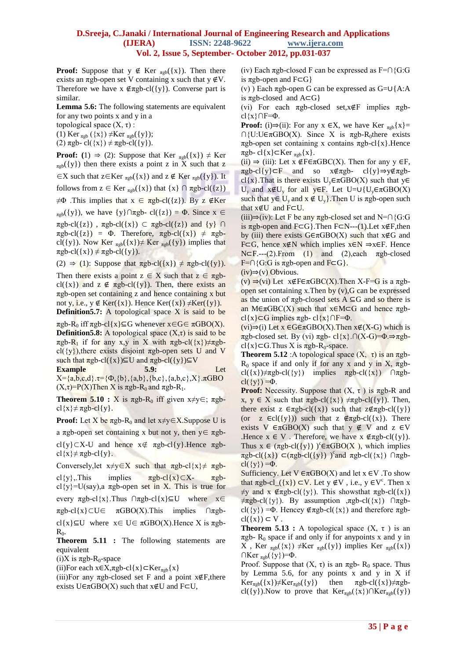**Proof:** Suppose that  $y \notin \text{Ker}_{\pi \text{gb}}(\{x\})$ . Then there exists an  $\pi$ gb-open set V containing x such that y ∉V. Therefore we have  $x \notin \pi \text{gb-cl}(\{y\})$ . Converse part is similar.

**Lemma 5.6:** The following statements are equivalent for any two points x and y in a

topological space  $(X, τ)$ :

 $\pi \text{gb-cl}(\{x\}) \neq \pi \text{gb-cl}(\{y\}).$ 

(1) Ker  $_{\pi$ gb</sub> ({x})  $\neq$ Ker  $_{\pi$ gb</sub>({y});

(2)  $\pi$ gb- cl({x})  $\neq \pi$ gb-cl({y}).

**Proof:** (1)  $\Rightarrow$  (2): Suppose that Ker  $_{\text{rgb}}(\{x\}) \neq \text{Ker}$  $_{\text{rgb}}(\{y\})$  then there exists a point z in X such that z  $\in$ X such that z $\in$ Ker <sub>πgb</sub>({x}) and z  $\notin$  Ker <sub>πgb</sub>({y}). It follows from  $z \in \text{Ker}_{\pi \text{gb}}(\{x\})$  that  $\{x\} \cap \pi \text{gb-cl}(\{z\})$  $\neq$ Φ .This implies that  $x \in \pi$ gb-cl({z}). By z ∉Ker  $_{\pi$ gb({y}), we have {y}∩πgb- cl({z}) = Φ. Since x ∈  $\pi$ gb-cl({z}),  $\pi$ gb-cl({x}) ⊂  $\pi$ gb-cl({z}) and {y} ∩  $\pi$ gb-cl({z}) = Φ. Therefore,  $\pi$ gb-cl({x})  $\neq \pi$ gbcl({y}). Now Ker  $_{\pi gb}({x}) \neq \text{Ker}_{\pi gb}({y})$  implies that

(2)  $\Rightarrow$  (1): Suppose that  $\pi \text{gb-}cl(\{x\}) \neq \pi \text{gb-}cl(\{y\}).$ 

Then there exists a point  $z \in X$  such that  $z \in \pi g$ bcl({x}) and  $z \notin \pi gb-cl({y})$ . Then, there exists an  $\pi$ gb-open set containing z and hence containing x but not y, i.e.,  $y \notin \text{Ker}(\{x\})$ . Hence  $\text{Ker}(\{x\}) \neq \text{Ker}(\{y\})$ . **Definition5.7:** A topological space X is said to be

 $\pi$ gb-R<sub>0</sub> iff  $\pi$ gb-cl{x}⊆G whenever x∈G∈  $\pi$ GBO(X). **Definition5.8:** A topological space  $(X,\tau)$  is said to be πgb-R<sub>1</sub> if for any x,y in X with  $\pi$ gb-cl({x}) $\neq \pi$ gbcl( $\{y\}$ ), there exists disjoint  $\pi$ gb-open sets U and V such that  $\pi$ gb-cl({x})⊆U and  $\pi$ gb-cl({y})⊆V

**Example 5.9:** Let  $X = \{a,b,c,d\}.\tau = \{\Phi, \{b\}, \{a,b\}, \{b,c\}, \{a,b,c\}, X\}.\pi$ GBO  $(X,\tau)$ =P(X)Then X is  $\pi$ gb-R<sub>0</sub> and  $\pi$ gb-R<sub>1</sub>.

**Theorem 5.10 :**  $X$  is  $\pi$ gb-R<sub>0</sub> iff given  $x \neq y \in$ ;  $\pi$ gbcl $\{x\} \neq \pi gb$ -cl $\{y\}$ .

**Proof:** Let X be  $\pi$ gb-R<sub>0</sub> and let  $x \neq y \in X$ . Suppose U is

a πgb-open set containing x but not y, then y∈ πgb-

cl{y}⊂X-U and hence  $x \notin \pi gb-cl\{y\}$ . Hence  $\pi gb$ cl{x} $\neq \pi$ gb-cl{y}.

Conversely,let  $x \neq y \in X$  such that  $\pi g b$ -cl{ $x \neq \pi g b$ cl{y},.This implies  $\pi$ gb-cl{x}⊂X-  $\pi$ gbcl{y}=U(say),a πgb-open set in X. This is true for every  $\pi$ gb-cl{x}.Thus ∩ $\pi$ gb-cl{x}⊆U where x∈  $\pi$ gb-cl{x}⊂U∈  $\pi$ GBO(X).This implies ∩ $\pi$ gbcl{x}⊆U where  $x \in U \in \pi$ GBO(X).Hence X is  $\pi$ gb- $R_0$ .

**Theorem 5.11 :** The following statements are equivalent

(i)X is  $\pi$ gb-R<sub>0</sub>-space

(ii)For each  $x \in X$ , $\pi$ gb-cl{ $x$ } $\subset$ Ker<sub> $\pi$ gb</sub>{ $x$ }

(iii)For any  $\pi$ gb-closed set F and a point  $x \notin F$ , there exists  $U \in \pi$ GBO(X) such that  $x \notin U$  and  $F \subset U$ ,

(iv) Each  $\pi$ gb-closed F can be expressed as F=∩{G:G is  $\pi$ gb-open and F⊂G}

(v) ) Each πgb-open G can be expressed as G=∪{A:A is  $\pi$ gb-closed and A⊂G}

(vi) For each πgb-closed set,x∉F implies πgb $cl{x} \cap F = \Phi$ .

**Proof:** (i) $\Rightarrow$ (ii): For any x  $\in$ X, we have Ker <sub>πgb</sub>{x}=  $\bigcap \{U: U \in \pi \text{GBO}(X) \big|$ . Since X is  $\pi \text{g} b \text{-R}<sub>0</sub>$ there exists πgb-open set containing x contains πgb-cl{x}.Hence  $\pi$ gb- cl{x}⊂Ker  $_{\pi$ gb{x}.

(ii)  $\Rightarrow$  (iii): Let x  $\text{\textsterling}F\text{\textsterling}GBC(X)$ . Then for any y  $\text{\textsterling}F$ ,  $\pi$ gb-cl{y}⊂F and so x∉πgb- cl{y}⇒y∉πgbcl{x}.That is there exists  $U_y \in \pi$ GBO(X) such that y $\in$ U<sub>y</sub> and  $x \notin U_y$  for all y∈F. Let U= $\cup \{U_y \in \pi \text{GBO}(X)\}\$ such that  $y \in U_y$  and  $x \notin U_y$ . Then U is  $\pi$ gb-open such that x∉U and F⊂U.

(iii)⇒(iv): Let F be any  $\pi$ gb-closed set and N=∩{G:G is  $\pi$ gb-open and F⊂G}.Then F⊂N---(1).Let x∉F,then by (iii) there exists  $G \in \pi$ GBO(X) such that  $x \notin G$  and F⊂G, hence x∉N which implies x∈N ⇒x∈F. Hence  $N\subset F$ .---(2). From (1) and (2), each  $\pi$ gb-closed  $F=\bigcap \{G:G \text{ is } \pi \text{gb-open and } F \subset G\}.$ 

(iv)⇒(v) Obvious.

 $(v) \Rightarrow (vi)$  Let  $x \notin F \in \pi \text{GBC}(X)$ . Then X-F=G is a  $\pi$ gbopen set containing x. Then by  $(v)$ , G can be expressed as the union of  $\pi$ gb-closed sets A ⊆G and so there is an M∈πGBC(X) such that  $x \in M \subset G$  and hence πgbcl{x}⊂G implies  $\pi$ gb- cl{x}∩F= $\Phi$ .

(vi)⇒(i) Let x ∈G∈πGBO(X).Then x∉(X-G) which is πgb-closed set. By (vi) πgb- cl{x}.∩(X-G)=Φ.⇒πgb $cl{x} \subset G$ . Thus X is  $\pi g b - R_0$ -space.

**Theorem 5.12** : A topological space  $(X, \tau)$  is an  $\pi$ gb-R<sub>0</sub> space if and only if for any x and y in X,  $\pi$ gbcl({x})≠πgb-cl({y}) implies  $\pi$ gb-cl({x}) ∩πgbcl( $\{y\}$ ) = $\Phi$ .

**Proof:** Necessity. Suppose that  $(X, \tau)$  is  $\pi$ gb-R and x,  $y \in X$  such that  $\pi \text{gb-cl}(\{x\}) \neq \pi \text{gb-cl}(\{y\})$ . Then, there exist z  $\epsilon \pi \epsilon b$ -cl({x}) such that  $z \epsilon \pi \epsilon b$ -cl({y}) (or z  $\in$ cl({y})) such that z  $\notin$ πgb-cl({x}). There exists V  $\in \pi$ GBO(X) such that  $y \notin V$  and  $z \in V$ .Hence  $x \in V$ . Therefore, we have  $x \notin \pi g b - cl({y})$ . Thus  $x \in (\pi g b \text{-} cl({y}) \text{ or } \theta$ <sup>c</sup> $\pi GBO(X)$ , which implies  $\pi$ gb-cl({x})  $\subset (\pi$ gb-cl({y}) )<sup>c</sup> and  $\pi$ gb-cl({x})  $\cap \pi$ gbcl( $\{y\}$ ) = $\Phi$ .

Sufficiency. Let  $V \in \pi$ GBO(X) and let  $x \in V$ . To show that  $\pi \text{gb-cl}((x)) \subset V$ . Let  $y \notin V$ , i.e.,  $y \in V^c$ . Then x  $\neq$ y and x  $\notin \pi$ gb-cl({y}). This shows that  $\pi$ gb-cl({x})  $\neq \pi$ gb-cl({y}). By assumption , $\pi$ gb-cl({x}) ∩ $\pi$ gbcl( $\{y\}$ ) =Φ. Hencey  $\notin \pi \text{gb-cl}(\{x\})$  and therefore  $\pi \text{gb-}$  $cl({x}) \subset V$ .

**Theorem 5.13 :** A topological space  $(X, \tau)$  is an  $\pi$ gb- R<sub>0</sub> space if and only if for anypoints x and y in X, Ker  $_{\pi gb}({x}) \neq Ker_{\pi gb}({y})$  implies Ker  $_{\pi gb}({x})$  $\bigcap \text{Ker}_{\pi \text{gb}}(\{y\})=\Phi.$ 

Proof. Suppose that  $(X, τ)$  is an  $πgb$ - R<sub>0</sub> space. Thus by Lemma 5.6, for any points x and y in X if  $Ker_{\pi g b}(\{x\}) \neq Ker_{\pi g b}(\{y\})$  then  $\pi g b \text{-} cl(\{x\}) \neq \pi g b$ cl({y}).Now to prove that  $Ker_{\pi gb}({x}) \cap Ker_{\pi gb}({y})$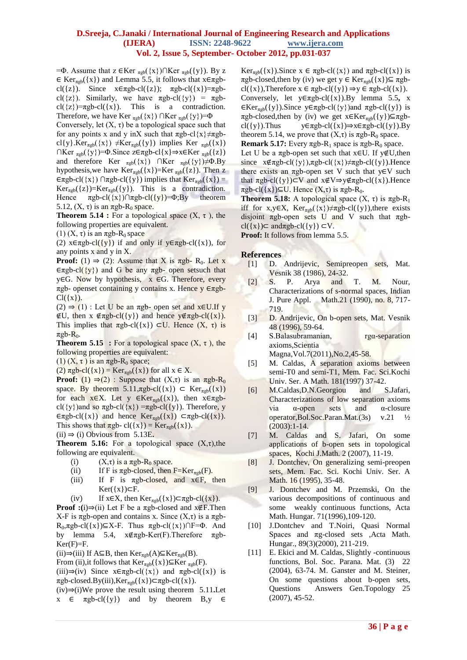$=$  Φ. Assume that z ∈Ker <sub>πgb</sub>({x})∩Ker <sub>πgb</sub>({y}). By z  $\in$  Ker<sub>πgb</sub>({x}) and Lemma 5.5, it follows that  $x \in \pi$ gbcl({z}). Since  $x \in \pi g b$ -cl({z});  $\pi g b$ -cl({x})= $\pi g b$ cl( $\{z\}$ ). Similarly, we have  $\pi \text{gb-}c$ l( $\{y\}$ ) =  $\pi \text{gb-}c$ cl( $\{z\}$ )= $\pi$ gb-cl( $\{x\}$ ). This is a contradiction. Therefore, we have Ker  $_{\pi \text{gb}}(\{x\}) \cap \text{Ker}_{\pi \text{gb}}(\{y\}) = \Phi$ 

Conversely, let  $(X, \tau)$  be a topological space such that for any points x and y inX such that  $\pi$ gb-cl{x} $\neq \pi$ gbcl{y}.Ker<sub> $\pi$ gb</sub>({x})  $\neq$ Ker<sub> $\pi$ gb</sub>({y}) implies Ker  $\pi$ <sub>gb</sub>({x})  $\bigcap$ Ker <sub>πgb</sub>({y})= $\Phi$ .Since z∈πgb-cl{x}⇒x∈Ker <sub>πgb</sub>({z}) and therefore Ker  $_{\pi gb}({x})$  ∩Ker  $_{\pi gb}({y})\neq \Phi.By$ hypothesis, we have  $Ker_{\pi \text{gb}}(\{x\})=Ker_{\pi \text{gb}}(\{z\})$ . Then z  $\in$ πgb-cl({x})  $\cap$ πgb-cl({y}) implies that  $Ker_{\pi^{gb}}({x}) =$  $Ker<sub>π</sub>_{b}({z})=Ker<sub>π</sub>_{b}({y}).$  This is a contradiction. Hence  $\pi$ gb-cl({x})∩ $\pi$ gb-cl({y})=Φ;By theorem 5.12,  $(X, \tau)$  is an  $\pi$ gb-R<sub>0</sub> space.

**Theorem 5.14 :** For a topological space  $(X, \tau)$ , the following properties are equivalent.

(1)  $(X, \tau)$  is an  $\pi$ gb-R<sub>0</sub> space

(2)  $x \in \pi g b \text{-}cl({y})$  if and only if  $y \in \pi g b \text{-}cl({x})$ , for any points x and y in X.

**Proof:** (1)  $\Rightarrow$  (2): Assume that X is  $\pi$ gb- R<sub>0</sub>. Let x  $\epsilon \pi$ gb-cl({y}) and G be any  $\pi$ gb- open setsuch that y∈G. Now by hypothesis, x ∈G. Therefore, every πgb- openset containing y contains x. Hence y ∈πgb- $Cl({x}).$ 

 $(2)$  ⇒  $(1)$  : Let U be an πgb- open set and x∈U.If y ∉U, then x ∉πgb-cl({y}) and hence y∉πgb-cl({x}). This implies that  $\pi$ gb-cl({x}) ⊂U. Hence  $(X, \tau)$  is  $\pi$ gb- $R_0$ .

**Theorem 5.15 :** For a topological space  $(X, \tau)$ , the following properties are equivalent:

(1)  $(X, \tau)$  is an  $\pi$ gb-R<sub>0</sub> space;

(2)  $\pi \text{gb-cl}(\{x\}) = \text{Ker}_{\pi \text{gb}}(\{x\})$  for all  $x \in X$ .

**Proof:** (1)  $\Rightarrow$  (2) : Suppose that  $(X,\tau)$  is an  $\pi$ gb-R<sub>0</sub> space. By theorem  $5.11$ , $\pi$ gb-cl({x}) ⊂ Ker<sub> $\pi$ gb</sub>({x}) for each  $x \in X$ . Let y  $\in \text{Ker}_{\text{rgb}}(\{x\})$ , then  $x \in \text{rgb-}$ cl({y})and so  $\pi$ gb-cl({x}) =  $\pi$ gb-cl({y}). Therefore, y  $\in$ πgb-cl({x}) and hence Ker<sub>πgb</sub>({x})  $\subset$ πgb-cl({x}). This shows that  $\pi$ gb- cl({x}) = Ker<sub> $\pi$ gb</sub>({x}).

 $(ii) \Rightarrow (i)$  Obvious from 5.13E.

**Theorem 5.16:** For a topological space  $(X,\tau)$ , the following are equivalent.

- (i)  $(X,\tau)$  is a  $\pi$ gb-R<sub>0</sub> space.
- (ii) If F is  $\pi$ gb-closed, then F=Ker<sub> $\pi$ gb</sub>(F).
- (iii) If F is  $\pi$ gb-closed, and  $x \in F$ , then  $Ker({x}) ⊂ F.$
- (iv) If  $x \in X$ , then  $Ker_{\pi gb}(\{x\}) \subset \pi gb-cl(\{x\})$ .

**Proof** :(i)⇒(ii) Let F be a  $\pi$ gb-closed and  $x \notin F$ . Then X-F is  $πgb$ -open and contains x. Since  $(X,τ)$  is a  $πgb$ -R<sub>0</sub>, $\pi$ gb-cl({x})⊆X-F. Thus  $\pi$ gb-cl({x})∩F= $\Phi$ . And by lemma 5.4, x∉πgb-Ker(F).Therefore πgb- $Ker(F)=F.$ 

(ii)⇒(iii) If A⊆B, then Ker<sub>πgb</sub>(A)⊆Ker<sub>πgb</sub>(B).

From (ii),it follows that  $Ker_{\pi gh}(\{x\})\subseteq Ker_{\pi gh}(F)$ .

(iii)⇒(iv) Since  $x \in \pi g b - c l({x})$  and  $\pi g b - c l({x})$  is  $\pi$ gb-closed.By(iii),Ker $_{\pi gh}$ ({x})⊂ $\pi gh$ -cl({x}).

(iv)⇒(i)We prove the result using theorem 5.11**.**Let  $x \in \pi$ gb-cl({y}) and by theorem B,y  $\in$ 

Ker<sub>πgb</sub>({x}).Since  $x \in \pi$ gb-cl({x}) and  $\pi$ gb-cl({x}) is  $πgb$ -closed,then by (iv) we get y ∈ Ker<sub>πgb</sub>({x})⊆  $πgb$ cl({x}),Therefore  $x \in \pi gb$ -cl({y})  $\Rightarrow y \in \pi gb$ -cl({x}). Conversely, let y∈πgb-cl({x}).By lemma 5.5**,** x  $\in \text{Ker}_{\text{rgb}}(\{y\})$ .Since  $y \in \text{rgb-cl}(\{y\})$  and  $\pi \text{gb-cl}(\{y\})$  is πgb-closed, then by (iv) we get  $x \in Ker_{\pi gh}({y}) \subseteq \pi gh$ cl({y}).Thus  $y \in \pi g b$ -cl({x})⇒x∈ $\pi g b$ -cl({y}).By theorem 5.14, we prove that  $(X,\tau)$  is  $\pi$ gb-R<sub>0</sub> space.

**Remark 5.17:** Every  $\pi$ gb-R<sub>1</sub> space is  $\pi$ gb-R<sub>0</sub> space. Let U be a  $\pi$ gb-open set such that x∈U. If y∉U, then since  $x \notin \pi gb-cl({y})$ ,  $\pi gb-cl({x}) \neq \pi gb-cl({y})$ . Hence there exists an  $\pi$ gb-open set V such that y∈V such that  $\pi$ gb-cl({y})⊂V and  $x \notin V \Rightarrow y \notin \pi$ gb-cl({x}).Hence  $\pi$ gb-cl({x})⊆U. Hence (X,τ) is  $\pi$ gb-R<sub>0</sub>.

**Theorem 5.18:** A topological space  $(X, \tau)$  is  $\pi \text{gb-R}_1$ iff for x,y∈X,  $Ker_{\pi gb}({x})\neq \pi gb-cl({y})$ , there exists disjoint  $\pi$ gb-open sets U and V such that  $\pi$ gbcl({x})⊂ andπgb-cl({y}) ⊂V.

**Proof:** It follows from lemma 5.5.

### **References**

- [1] D. Andrijevic, Semipreopen sets, Mat. Vesnik 38 (1986), 24-32.
- [2] S. P. Arya and T. M. Nour, Characterizations of s-normal spaces, Indian J. Pure Appl. Math.21 (1990), no. 8, 717- 719.
- [3] D. Andrijevic, On b-open sets, Mat. Vesnik 48 (1996), 59-64.
- [4] S.Balasubramanian, rga-separation axioms,Scientia Magna,Vol.7(2011),No.2,45-58.
- [5] M. Caldas, A separation axioms between
- semi-T0 and semi-T1, Mem. Fac. Sci.Kochi Univ. Ser. A Math. 181(1997) 37-42.
- [6] M.Caldas,D.N.Georgiou and S.Jafari, Characterizations of low separation axioms via α-open sets and α-closure operator,Bol.Soc.Paran.Mat.(3s) v.21 ½  $(2003):1-14.$
- [7] M. Caldas and S. Jafari, On some applications of b-open sets in topological spaces, Kochi J.Math. 2 (2007), 11-19.
- [8] J. Dontchev, On generalizing semi-preopen sets, Mem. Fac. Sci. Kochi Univ. Ser. A Math. 16 (1995), 35-48.
- [9] J. Dontchev and M. Przemski, On the various decompositions of continuous and some weakly continuous functions, Acta Math. Hungar. 71(1996),109-120.
- [10] J.Dontchev and T.Noiri, Quasi Normal Spaces and πg-closed sets ,Acta Math. Hungar., 89(3)(2000), 211-219.
- [11] E. Ekici and M. Caldas, Slightly -continuous functions, Bol. Soc. Parana. Mat. (3) 22 (2004), 63-74. M. Ganster and M. Steiner, On some questions about b-open sets, Questions Answers Gen.Topology 25 (2007), 45-52.